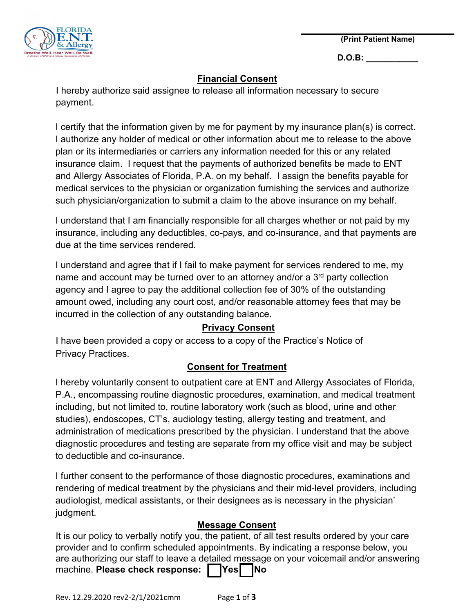**(Print Patient Name)** 



**D.O.B: \_\_\_\_\_\_\_\_\_\_\_**

### **Financial Consent**

I hereby authorize said assignee to release all information necessary to secure payment.

I certify that the information given by me for payment by my insurance plan(s) is correct. I authorize any holder of medical or other information about me to release to the above plan or its intermediaries or carriers any information needed for this or any related insurance claim. I request that the payments of authorized benefits be made to ENT and Allergy Associates of Florida, P.A. on my behalf. I assign the benefits payable for medical services to the physician or organization furnishing the services and authorize such physician/organization to submit a claim to the above insurance on my behalf.

I understand that I am financially responsible for all charges whether or not paid by my insurance, including any deductibles, co-pays, and co-insurance, and that payments are due at the time services rendered.

I understand and agree that if I fail to make payment for services rendered to me, my name and account may be turned over to an attorney and/or a 3<sup>rd</sup> party collection agency and I agree to pay the additional collection fee of 30% of the outstanding amount owed, including any court cost, and/or reasonable attorney fees that may be incurred in the collection of any outstanding balance.

# **Privacy Consent**

I have been provided a copy or access to a copy of the Practice's Notice of Privacy Practices.

# **Consent for Treatment**

I hereby voluntarily consent to outpatient care at ENT and Allergy Associates of Florida, P.A., encompassing routine diagnostic procedures, examination, and medical treatment including, but not limited to, routine laboratory work (such as blood, urine and other studies), endoscopes, CT's, audiology testing, allergy testing and treatment, and administration of medications prescribed by the physician. I understand that the above diagnostic procedures and testing are separate from my office visit and may be subject to deductible and co-insurance.

I further consent to the performance of those diagnostic procedures, examinations and rendering of medical treatment by the physicians and their mid-level providers, including audiologist, medical assistants, or their designees as is necessary in the physician' judgment.

## **Message Consent**

It is our policy to verbally notify you, the patient, of all test results ordered by your care provider and to confirm scheduled appointments. By indicating a response below, you are authorizing our staff to leave a detailed message on your voicemail and/or answering machine. **Please check response:** | **Yes | No**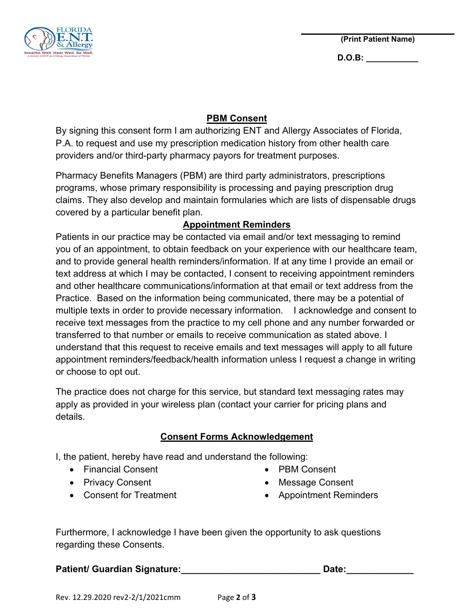

**D.O.B: \_\_\_\_\_\_\_\_\_\_\_**

#### **PBM Consent**

By signing this consent form I am authorizing ENT and Allergy Associates of Florida, P.A. to request and use my prescription medication history from other health care providers and/or third-party pharmacy payors for treatment purposes.

Pharmacy Benefits Managers (PBM) are third party administrators, prescriptions programs, whose primary responsibility is processing and paying prescription drug claims. They also develop and maintain formularies which are lists of dispensable drugs covered by a particular benefit plan.

### **Appointment Reminders**

Patients in our practice may be contacted via email and/or text messaging to remind you of an appointment, to obtain feedback on your experience with our healthcare team, and to provide general health reminders/information. If at any time I provide an email or text address at which I may be contacted, I consent to receiving appointment reminders and other healthcare communications/information at that email or text address from the Practice. Based on the information being communicated, there may be a potential of multiple texts in order to provide necessary information. I acknowledge and consent to receive text messages from the practice to my cell phone and any number forwarded or transferred to that number or emails to receive communication as stated above. I understand that this request to receive emails and text messages will apply to all future appointment reminders/feedback/health information unless I request a change in writing or choose to opt out.

The practice does not charge for this service, but standard text messaging rates may apply as provided in your wireless plan (contact your carrier for pricing plans and details.

#### **Consent Forms Acknowledgement**

I, the patient, hereby have read and understand the following:

- Financial Consent
- Privacy Consent
- Consent for Treatment
- PBM Consent
- Message Consent
- Appointment Reminders

Furthermore, I acknowledge I have been given the opportunity to ask questions regarding these Consents.

Patient/ Guardian Signature: Date:

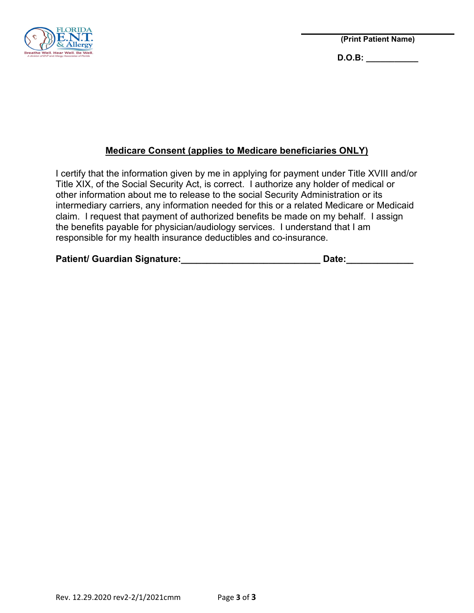

**(Print Patient Name)** 

**D.O.B: \_\_\_\_\_\_\_\_\_\_\_**

## **Medicare Consent (applies to Medicare beneficiaries ONLY)**

I certify that the information given by me in applying for payment under Title XVIII and/or Title XIX, of the Social Security Act, is correct. I authorize any holder of medical or other information about me to release to the social Security Administration or its intermediary carriers, any information needed for this or a related Medicare or Medicaid claim. I request that payment of authorized benefits be made on my behalf. I assign the benefits payable for physician/audiology services. I understand that I am responsible for my health insurance deductibles and co-insurance.

| <b>Patient/ Guardian Signature:</b> | Date: |
|-------------------------------------|-------|
|                                     |       |